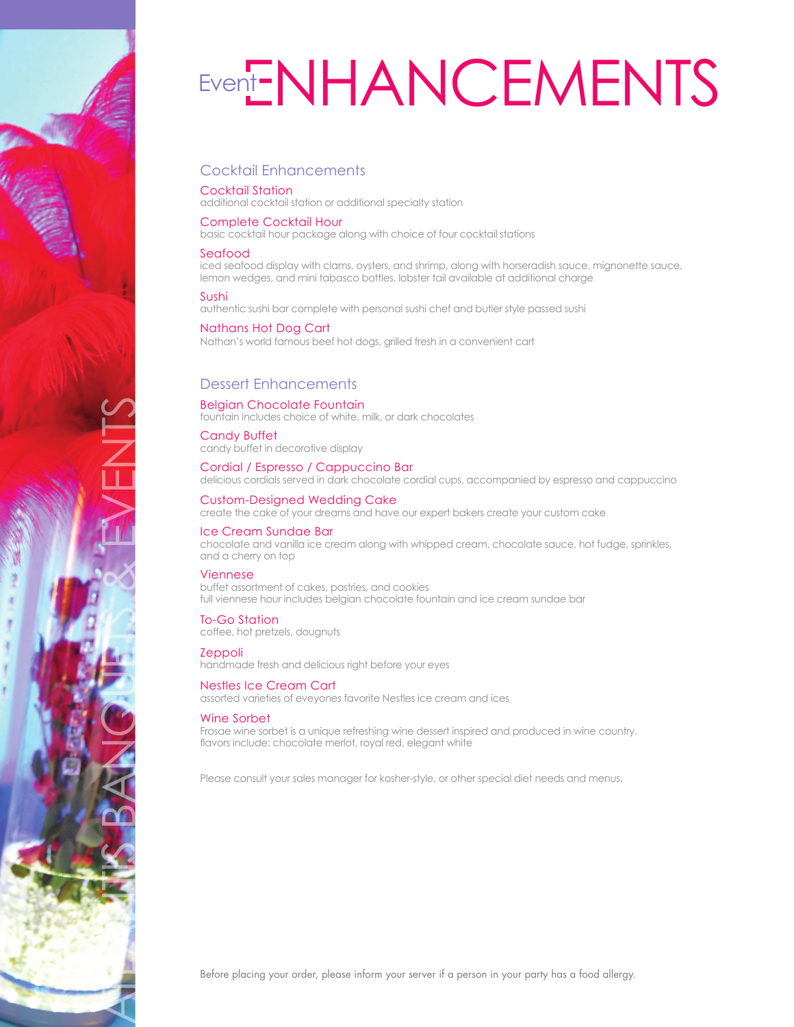

# Event**ENHANCEMENTS**

# Cocktail Enhancements

# Cocktail Station

additional cocktail station or additional specialty station

# Complete Cocktail Hour

basic cocktail hour package along with choice of four cocktail stations

## Seafood

iced seafood display with clams, oysters, and shrimp, along with horseradish sauce, mignonette sauce, lemon wedges, and mini tabasco bottles, lobster tail available at additional charge

## Sushi

authentic sushi bar complete with personal sushi chef and butler style passed sushi

# Nathans Hot Dog Cart

Nathan's world famous beef hot dogs, grilled fresh in a convenient cart

# Dessert Enhancements

## Belgian Chocolate Fountain

fountain includes choice of white, milk, or dark chocolates

## Candy Buffet

candy buffet in decorative display

Cordial / Espresso / Cappuccino Bar delicious cordials served in dark chocolate cordial cups, accompanied by espresso and cappuccino

#### Custom-Designed Wedding Cake

create the cake of your dreams and have our expert bakers create your custom cake

#### Ice Cream Sundae Bar

chocolate and vanilla ice cream along with whipped cream, chocolate sauce, hot fudge, sprinkles, and a cherry on top

#### Viennese

buffet assortment of cakes, pastries, and cookies full viennese hour includes belgian chocolate fountain and ice cream sundae bar

# To-Go Station

coffee, hot pretzels, dougnuts

# **Zeppoli**

handmade fresh and delicious right before your eyes

# Nestles Ice Cream Cart

assorted varieties of eveyones favorite Nestles ice cream and ices

## Wine Sorbet

Frosae wine sorbet is a unique refreshing wine dessert inspired and produced in wine country. flavors include: chocolate merlot, royal red, elegant white

Please consult your sales manager for kosher-style, or other special diet needs and menus.